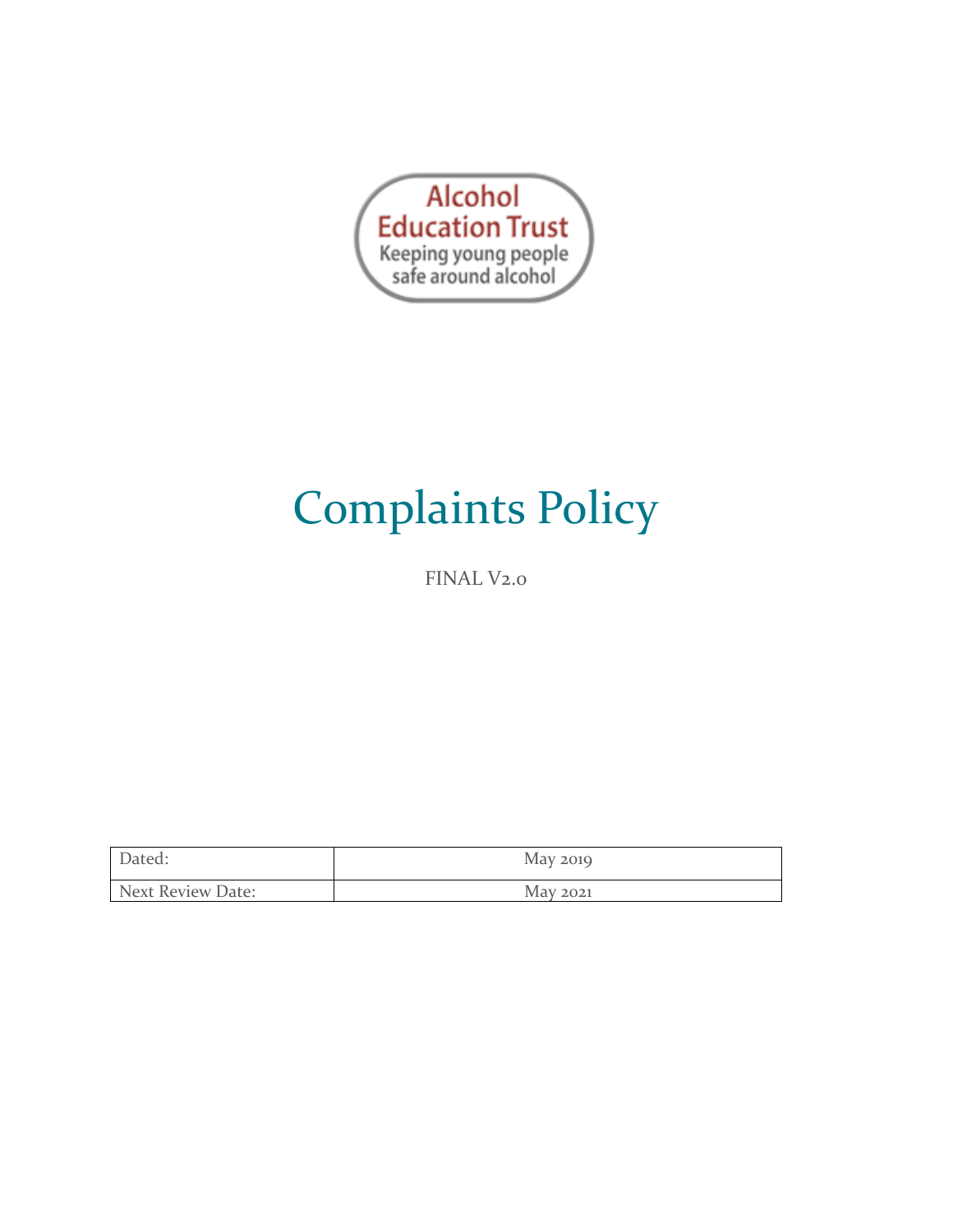

# Complaints Policy

FINAL V<sub>2.0</sub>

| Dated:            | May 2019 |
|-------------------|----------|
| Next Review Date: | May 2021 |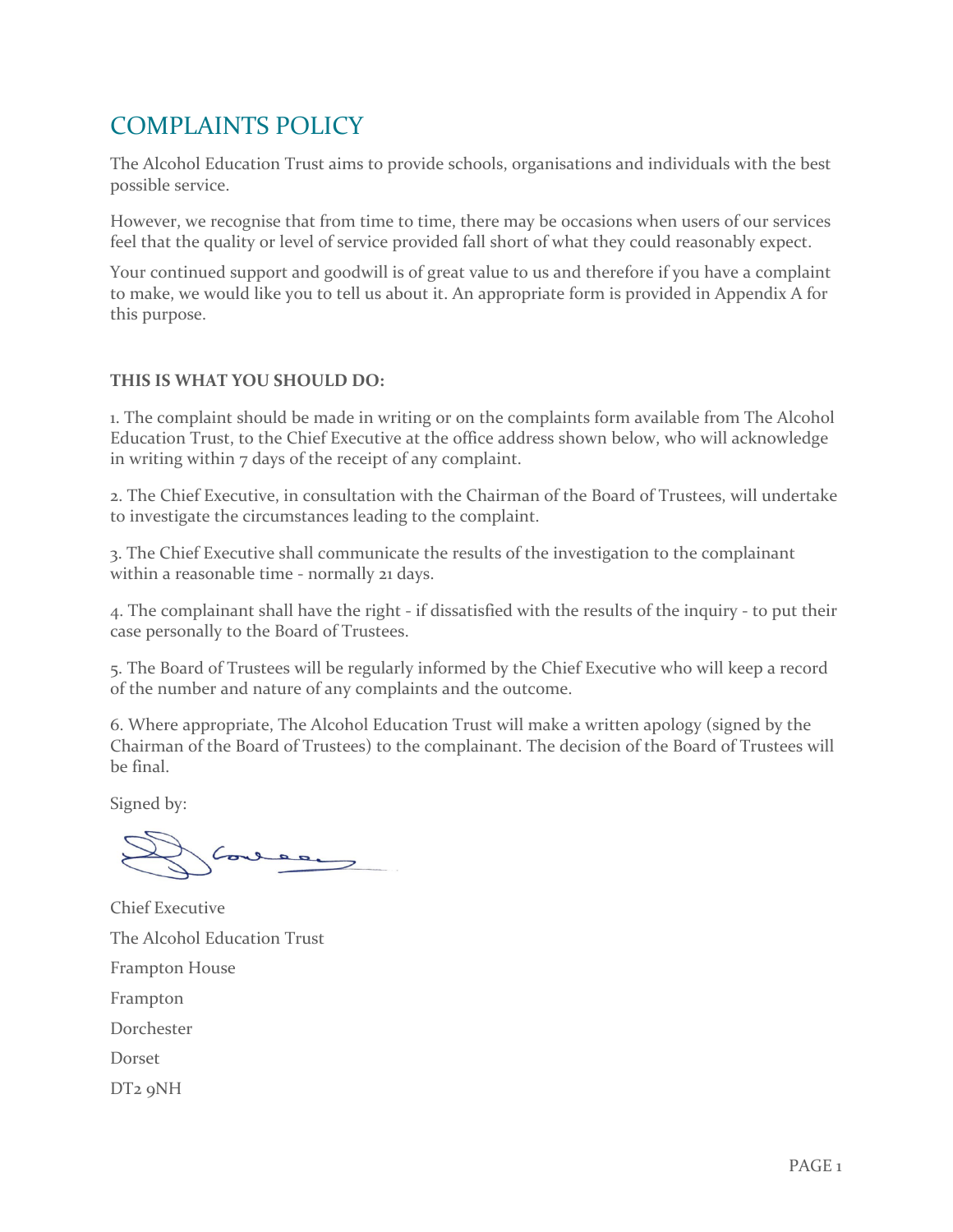## COMPLAINTS POLICY

The Alcohol Education Trust aims to provide schools, organisations and individuals with the best possible service.

However, we recognise that from time to time, there may be occasions when users of our services feel that the quality or level of service provided fall short of what they could reasonably expect.

Your continued support and goodwill is of great value to us and therefore if you have a complaint to make, we would like you to tell us about it. An appropriate form is provided in Appendix A for this purpose.

#### **THIS IS WHAT YOU SHOULD DO:**

1. The complaint should be made in writing or on the complaints form available from The Alcohol Education Trust, to the Chief Executive at the office address shown below, who will acknowledge in writing within 7 days of the receipt of any complaint.

2. The Chief Executive, in consultation with the Chairman of the Board of Trustees, will undertake to investigate the circumstances leading to the complaint.

3. The Chief Executive shall communicate the results of the investigation to the complainant within a reasonable time - normally 21 days.

4. The complainant shall have the right - if dissatisfied with the results of the inquiry - to put their case personally to the Board of Trustees.

5. The Board of Trustees will be regularly informed by the Chief Executive who will keep a record of the number and nature of any complaints and the outcome.

6. Where appropriate, The Alcohol Education Trust will make a written apology (signed by the Chairman of the Board of Trustees) to the complainant. The decision of the Board of Trustees will be final.

Signed by:

Chief Executive The Alcohol Education Trust Frampton House Frampton Dorchester Dorset DT2 9NH